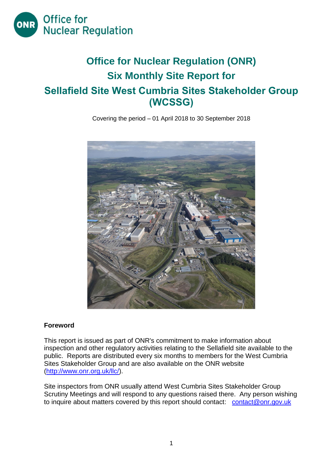

# **Office for Nuclear Regulation (ONR) Six Monthly Site Report for Sellafield Site West Cumbria Sites Stakeholder Group (WCSSG)**

Covering the period – 01 April 2018 to 30 September 2018



#### **Foreword**

This report is issued as part of ONR's commitment to make information about inspection and other regulatory activities relating to the Sellafield site available to the public. Reports are distributed every six months to members for the West Cumbria Sites Stakeholder Group and are also available on the ONR website [\(http://www.onr.org.uk/llc/\)](http://www.onr.org.uk/llc/).

Site inspectors from ONR usually attend West Cumbria Sites Stakeholder Group Scrutiny Meetings and will respond to any questions raised there. Any person wishing to inquire about matters covered by this report should contact: [contact@onr.gov.uk](mailto:contact@onr.gov.uk)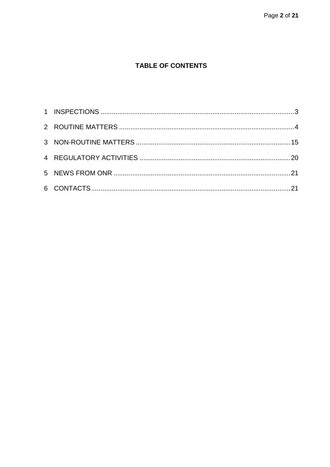## **TABLE OF CONTENTS**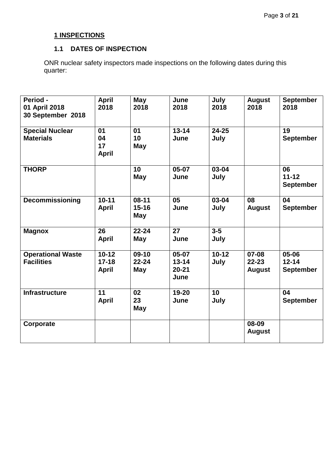# **1 INSPECTIONS**

#### **1.1 DATES OF INSPECTION**

<span id="page-2-0"></span>ONR nuclear safety inspectors made inspections on the following dates during this quarter:

| Period -<br>01 April 2018<br>30 September 2018 | <b>April</b><br>2018                   | May<br>2018                        | June<br>2018                            | July<br>2018      | <b>August</b><br>2018                   | <b>September</b><br>2018                   |
|------------------------------------------------|----------------------------------------|------------------------------------|-----------------------------------------|-------------------|-----------------------------------------|--------------------------------------------|
| <b>Special Nuclear</b><br><b>Materials</b>     | 01<br>04<br>17<br><b>April</b>         | 01<br>10<br>May                    | $13 - 14$<br>June                       | $24 - 25$<br>July |                                         | 19<br><b>September</b>                     |
| <b>THORP</b>                                   |                                        | 10<br><b>May</b>                   | $05-07$<br>June                         | 03-04<br>July     |                                         | 06<br>$11 - 12$<br><b>September</b>        |
| Decommissioning                                | $10 - 11$<br><b>April</b>              | $08-11$<br>$15 - 16$<br><b>May</b> | 05<br>June                              | 03-04<br>July     | 08<br><b>August</b>                     | 04<br><b>September</b>                     |
| <b>Magnox</b>                                  | 26<br><b>April</b>                     | $22 - 24$<br>May                   | 27<br>June                              | $3-5$<br>July     |                                         |                                            |
| <b>Operational Waste</b><br><b>Facilities</b>  | $10 - 12$<br>$17 - 18$<br><b>April</b> | $09-10$<br>$22 - 24$<br>May        | 05-07<br>$13 - 14$<br>$20 - 21$<br>June | $10 - 12$<br>July | $07 - 08$<br>$22 - 23$<br><b>August</b> | $05 - 06$<br>$12 - 14$<br><b>September</b> |
| <b>Infrastructure</b>                          | 11<br><b>April</b>                     | 02<br>23<br><b>May</b>             | 19-20<br>June                           | 10<br>July        |                                         | 04<br><b>September</b>                     |
| Corporate                                      |                                        |                                    |                                         |                   | 08-09<br><b>August</b>                  |                                            |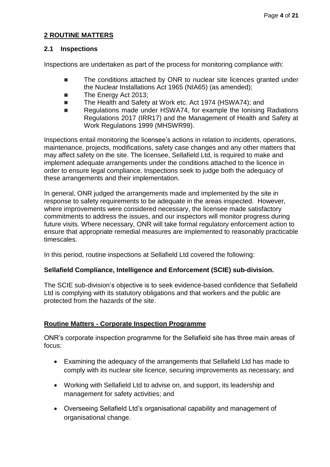#### **2 ROUTINE MATTERS**

#### **2.1 Inspections**

Inspections are undertaken as part of the process for monitoring compliance with:

- The conditions attached by ONR to nuclear site licences granted under the Nuclear Installations Act 1965 (NIA65) (as amended);
- The Energy Act 2013:
- The Health and Safety at Work etc. Act 1974 (HSWA74): and
- Regulations made under HSWA74, for example the Ionising Radiations Regulations 2017 (IRR17) and the Management of Health and Safety at Work Regulations 1999 (MHSWR99).

Inspections entail monitoring the licensee's actions in relation to incidents, operations, maintenance, projects, modifications, safety case changes and any other matters that may affect safety on the site. The licensee, Sellafield Ltd, is required to make and implement adequate arrangements under the conditions attached to the licence in order to ensure legal compliance. Inspections seek to judge both the adequacy of these arrangements and their implementation.

In general, ONR judged the arrangements made and implemented by the site in response to safety requirements to be adequate in the areas inspected. However, where improvements were considered necessary, the licensee made satisfactory commitments to address the issues, and our inspectors will monitor progress during future visits. Where necessary, ONR will take formal regulatory enforcement action to ensure that appropriate remedial measures are implemented to reasonably practicable timescales.

In this period, routine inspections at Sellafield Ltd covered the following:

#### **Sellafield Compliance, Intelligence and Enforcement (SCIE) sub-division.**

The SCIE sub-division's objective is to seek evidence-based confidence that Sellafield Ltd is complying with its statutory obligations and that workers and the public are protected from the hazards of the site.

#### **Routine Matters - Corporate Inspection Programme**

ONR's corporate inspection programme for the Sellafield site has three main areas of focus:

- Examining the adequacy of the arrangements that Sellafield Ltd has made to comply with its nuclear site licence, securing improvements as necessary; and
- Working with Sellafield Ltd to advise on, and support, its leadership and management for safety activities; and
- Overseeing Sellafield Ltd's organisational capability and management of organisational change.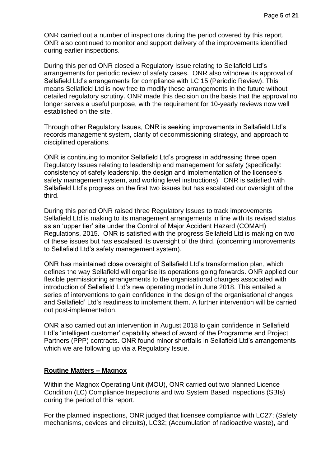ONR carried out a number of inspections during the period covered by this report. ONR also continued to monitor and support delivery of the improvements identified during earlier inspections.

During this period ONR closed a Regulatory Issue relating to Sellafield Ltd's arrangements for periodic review of safety cases. ONR also withdrew its approval of Sellafield Ltd's arrangements for compliance with LC 15 (Periodic Review). This means Sellafield Ltd is now free to modify these arrangements in the future without detailed regulatory scrutiny. ONR made this decision on the basis that the approval no longer serves a useful purpose, with the requirement for 10-yearly reviews now well established on the site.

Through other Regulatory Issues, ONR is seeking improvements in Sellafield Ltd's records management system, clarity of decommissioning strategy, and approach to disciplined operations.

ONR is continuing to monitor Sellafield Ltd's progress in addressing three open Regulatory Issues relating to leadership and management for safety (specifically: consistency of safety leadership, the design and implementation of the licensee's safety management system, and working level instructions). ONR is satisfied with Sellafield Ltd's progress on the first two issues but has escalated our oversight of the third.

During this period ONR raised three Regulatory Issues to track improvements Sellafield Ltd is making to its management arrangements in line with its revised status as an 'upper tier' site under the Control of Major Accident Hazard (COMAH) Regulations, 2015. ONR is satisfied with the progress Sellafield Ltd is making on two of these issues but has escalated its oversight of the third, (concerning improvements to Sellafield Ltd's safety management system).

ONR has maintained close oversight of Sellafield Ltd's transformation plan, which defines the way Sellafield will organise its operations going forwards. ONR applied our flexible permissioning arrangements to the organisational changes associated with introduction of Sellafield Ltd's new operating model in June 2018. This entailed a series of interventions to gain confidence in the design of the organisational changes and Sellafield' Ltd's readiness to implement them. A further intervention will be carried out post-implementation.

ONR also carried out an intervention in August 2018 to gain confidence in Sellafield Ltd's 'intelligent customer' capability ahead of award of the Programme and Project Partners (PPP) contracts. ONR found minor shortfalls in Sellafield Ltd's arrangements which we are following up via a Regulatory Issue.

#### **Routine Matters – Magnox**

Within the Magnox Operating Unit (MOU), ONR carried out two planned Licence Condition (LC) Compliance Inspections and two System Based Inspections (SBIs) during the period of this report.

For the planned inspections, ONR judged that licensee compliance with LC27; (Safety mechanisms, devices and circuits), LC32; (Accumulation of radioactive waste), and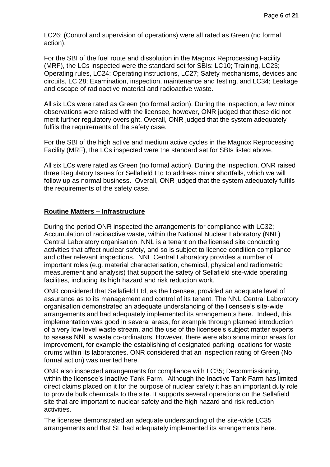LC26; (Control and supervision of operations) were all rated as Green (no formal action).

For the SBI of the fuel route and dissolution in the Magnox Reprocessing Facility (MRF), the LCs inspected were the standard set for SBIs: LC10; Training, LC23; Operating rules, LC24; Operating instructions, LC27; Safety mechanisms, devices and circuits, LC 28; Examination, inspection, maintenance and testing, and LC34; Leakage and escape of radioactive material and radioactive waste.

All six LCs were rated as Green (no formal action). During the inspection, a few minor observations were raised with the licensee, however, ONR judged that these did not merit further regulatory oversight. Overall, ONR judged that the system adequately fulfils the requirements of the safety case.

For the SBI of the high active and medium active cycles in the Magnox Reprocessing Facility (MRF), the LCs inspected were the standard set for SBIs listed above.

All six LCs were rated as Green (no formal action). During the inspection, ONR raised three Regulatory Issues for Sellafield Ltd to address minor shortfalls, which we will follow up as normal business. Overall, ONR judged that the system adequately fulfils the requirements of the safety case.

#### **Routine Matters – Infrastructure**

During the period ONR inspected the arrangements for compliance with LC32; Accumulation of radioactive waste, within the National Nuclear Laboratory (NNL) Central Laboratory organisation. NNL is a tenant on the licensed site conducting activities that affect nuclear safety, and so is subject to licence condition compliance and other relevant inspections. NNL Central Laboratory provides a number of important roles (e.g. material characterisation, chemical, physical and radiometric measurement and analysis) that support the safety of Sellafield site-wide operating facilities, including its high hazard and risk reduction work.

ONR considered that Sellafield Ltd, as the licensee, provided an adequate level of assurance as to its management and control of its tenant. The NNL Central Laboratory organisation demonstrated an adequate understanding of the licensee's site-wide arrangements and had adequately implemented its arrangements here. Indeed, this implementation was good in several areas, for example through planned introduction of a very low level waste stream, and the use of the licensee's subject matter experts to assess NNL's waste co-ordinators. However, there were also some minor areas for improvement, for example the establishing of designated parking locations for waste drums within its laboratories. ONR considered that an inspection rating of Green (No formal action) was merited here.

ONR also inspected arrangements for compliance with LC35; Decommissioning, within the licensee's Inactive Tank Farm. Although the Inactive Tank Farm has limited direct claims placed on it for the purpose of nuclear safety it has an important duty role to provide bulk chemicals to the site. It supports several operations on the Sellafield site that are important to nuclear safety and the high hazard and risk reduction activities.

The licensee demonstrated an adequate understanding of the site-wide LC35 arrangements and that SL had adequately implemented its arrangements here.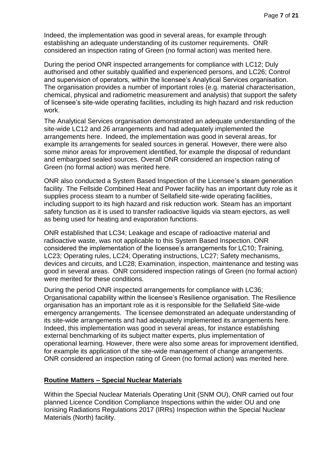Indeed, the implementation was good in several areas, for example through establishing an adequate understanding of its customer requirements. ONR considered an inspection rating of Green (no formal action) was merited here.

During the period ONR inspected arrangements for compliance with LC12; Duly authorised and other suitably qualified and experienced persons, and LC26; Control and supervision of operators, within the licensee's Analytical Services organisation. The organisation provides a number of important roles (e.g. material characterisation, chemical, physical and radiometric measurement and analysis) that support the safety of licensee's site-wide operating facilities, including its high hazard and risk reduction work.

The Analytical Services organisation demonstrated an adequate understanding of the site-wide LC12 and 26 arrangements and had adequately implemented the arrangements here. Indeed, the implementation was good in several areas, for example its arrangements for sealed sources in general. However, there were also some minor areas for improvement identified, for example the disposal of redundant and embargoed sealed sources. Overall ONR considered an inspection rating of Green (no formal action) was merited here.

ONR also conducted a System Based Inspection of the Licensee's steam generation facility. The Fellside Combined Heat and Power facility has an important duty role as it supplies process steam to a number of Sellafield site-wide operating facilities, including support to its high hazard and risk reduction work. Steam has an important safety function as it is used to transfer radioactive liquids via steam ejectors, as well as being used for heating and evaporation functions.

ONR established that LC34; Leakage and escape of radioactive material and radioactive waste, was not applicable to this System Based Inspection. ONR considered the implementation of the licensee's arrangements for LC10; Training, LC23; Operating rules, LC24; Operating instructions, LC27; Safety mechanisms, devices and circuits, and LC28; Examination, inspection, maintenance and testing was good in several areas. ONR considered inspection ratings of Green (no formal action) were merited for these conditions.

During the period ONR inspected arrangements for compliance with LC36; Organisational capability within the licensee's Resilience organisation. The Resilience organisation has an important role as it is responsible for the Sellafield Site-wide emergency arrangements. The licensee demonstrated an adequate understanding of its site-wide arrangements and had adequately implemented its arrangements here. Indeed, this implementation was good in several areas, for instance establishing external benchmarking of its subject matter experts, plus implementation of operational learning. However, there were also some areas for improvement identified, for example its application of the site-wide management of change arrangements. ONR considered an inspection rating of Green (no formal action) was merited here.

#### **Routine Matters – Special Nuclear Materials**

Within the Special Nuclear Materials Operating Unit (SNM OU), ONR carried out four planned Licence Condition Compliance Inspections within the wider OU and one Ionising Radiations Regulations 2017 (IRRs) Inspection within the Special Nuclear Materials (North) facility.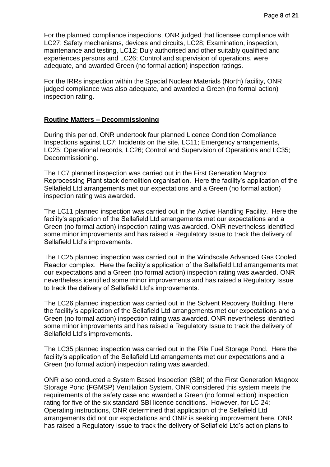For the planned compliance inspections, ONR judged that licensee compliance with LC27; Safety mechanisms, devices and circuits, LC28; Examination, inspection, maintenance and testing, LC12; Duly authorised and other suitably qualified and experiences persons and LC26; Control and supervision of operations, were adequate, and awarded Green (no formal action) inspection ratings.

For the IRRs inspection within the Special Nuclear Materials (North) facility, ONR judged compliance was also adequate, and awarded a Green (no formal action) inspection rating.

#### **Routine Matters – Decommissioning**

During this period, ONR undertook four planned Licence Condition Compliance Inspections against LC7; Incidents on the site, LC11; Emergency arrangements, LC25; Operational records, LC26; Control and Supervision of Operations and LC35; Decommissioning.

The LC7 planned inspection was carried out in the First Generation Magnox Reprocessing Plant stack demolition organisation. Here the facility's application of the Sellafield Ltd arrangements met our expectations and a Green (no formal action) inspection rating was awarded.

The LC11 planned inspection was carried out in the Active Handling Facility. Here the facility's application of the Sellafield Ltd arrangements met our expectations and a Green (no formal action) inspection rating was awarded. ONR nevertheless identified some minor improvements and has raised a Regulatory Issue to track the delivery of Sellafield Ltd's improvements.

The LC25 planned inspection was carried out in the Windscale Advanced Gas Cooled Reactor complex. Here the facility's application of the Sellafield Ltd arrangements met our expectations and a Green (no formal action) inspection rating was awarded. ONR nevertheless identified some minor improvements and has raised a Regulatory Issue to track the delivery of Sellafield Ltd's improvements.

The LC26 planned inspection was carried out in the Solvent Recovery Building. Here the facility's application of the Sellafield Ltd arrangements met our expectations and a Green (no formal action) inspection rating was awarded. ONR nevertheless identified some minor improvements and has raised a Regulatory Issue to track the delivery of Sellafield Ltd's improvements.

The LC35 planned inspection was carried out in the Pile Fuel Storage Pond. Here the facility's application of the Sellafield Ltd arrangements met our expectations and a Green (no formal action) inspection rating was awarded.

ONR also conducted a System Based Inspection (SBI) of the First Generation Magnox Storage Pond (FGMSP) Ventilation System. ONR considered this system meets the requirements of the safety case and awarded a Green (no formal action) inspection rating for five of the six standard SBI licence conditions. However, for LC 24; Operating instructions, ONR determined that application of the Sellafield Ltd arrangements did not our expectations and ONR is seeking improvement here. ONR has raised a Regulatory Issue to track the delivery of Sellafield Ltd's action plans to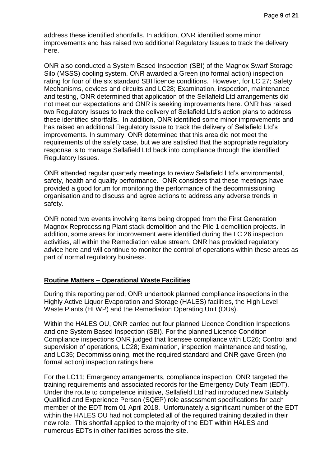address these identified shortfalls. In addition, ONR identified some minor improvements and has raised two additional Regulatory Issues to track the delivery here.

ONR also conducted a System Based Inspection (SBI) of the Magnox Swarf Storage Silo (MSSS) cooling system. ONR awarded a Green (no formal action) inspection rating for four of the six standard SBI licence conditions. However, for LC 27; Safety Mechanisms, devices and circuits and LC28; Examination, inspection, maintenance and testing, ONR determined that application of the Sellafield Ltd arrangements did not meet our expectations and ONR is seeking improvements here. ONR has raised two Regulatory Issues to track the delivery of Sellafield Ltd's action plans to address these identified shortfalls. In addition, ONR identified some minor improvements and has raised an additional Regulatory Issue to track the delivery of Sellafield Ltd's improvements. In summary, ONR determined that this area did not meet the requirements of the safety case, but we are satisfied that the appropriate regulatory response is to manage Sellafield Ltd back into compliance through the identified Regulatory Issues.

ONR attended regular quarterly meetings to review Sellafield Ltd's environmental, safety, health and quality performance. ONR considers that these meetings have provided a good forum for monitoring the performance of the decommissioning organisation and to discuss and agree actions to address any adverse trends in safety.

ONR noted two events involving items being dropped from the First Generation Magnox Reprocessing Plant stack demolition and the Pile 1 demolition projects. In addition, some areas for improvement were identified during the LC 26 inspection activities, all within the Remediation value stream. ONR has provided regulatory advice here and will continue to monitor the control of operations within these areas as part of normal regulatory business.

#### **Routine Matters – Operational Waste Facilities**

During this reporting period, ONR undertook planned compliance inspections in the Highly Active Liquor Evaporation and Storage (HALES) facilities, the High Level Waste Plants (HLWP) and the Remediation Operating Unit (OUs).

Within the HALES OU, ONR carried out four planned Licence Condition Inspections and one System Based Inspection (SBI). For the planned Licence Condition Compliance inspections ONR judged that licensee compliance with LC26; Control and supervision of operations, LC28; Examination, inspection maintenance and testing, and LC35; Decommissioning, met the required standard and ONR gave Green (no formal action) inspection ratings here.

For the LC11; Emergency arrangements, compliance inspection, ONR targeted the training requirements and associated records for the Emergency Duty Team (EDT). Under the route to competence initiative, Sellafield Ltd had introduced new Suitably Qualified and Experience Person (SQEP) role assessment specifications for each member of the EDT from 01 April 2018. Unfortunately a significant number of the EDT within the HALES OU had not completed all of the required training detailed in their new role. This shortfall applied to the majority of the EDT within HALES and numerous EDTs in other facilities across the site.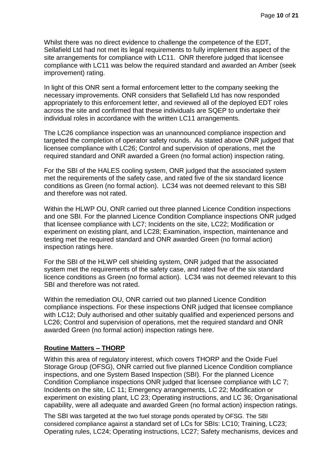Whilst there was no direct evidence to challenge the competence of the EDT, Sellafield Ltd had not met its legal requirements to fully implement this aspect of the site arrangements for compliance with LC11. ONR therefore judged that licensee compliance with LC11 was below the required standard and awarded an Amber (seek improvement) rating.

In light of this ONR sent a formal enforcement letter to the company seeking the necessary improvements. ONR considers that Sellafield Ltd has now responded appropriately to this enforcement letter, and reviewed all of the deployed EDT roles across the site and confirmed that these individuals are SQEP to undertake their individual roles in accordance with the written LC11 arrangements.

The LC26 compliance inspection was an unannounced compliance inspection and targeted the completion of operator safety rounds. As stated above ONR judged that licensee compliance with LC26; Control and supervision of operations, met the required standard and ONR awarded a Green (no formal action) inspection rating.

For the SBI of the HALES cooling system, ONR judged that the associated system met the requirements of the safety case, and rated five of the six standard licence conditions as Green (no formal action). LC34 was not deemed relevant to this SBI and therefore was not rated.

Within the HLWP OU, ONR carried out three planned Licence Condition inspections and one SBI. For the planned Licence Condition Compliance inspections ONR judged that licensee compliance with LC7; Incidents on the site, LC22; Modification or experiment on existing plant, and LC28; Examination, inspection, maintenance and testing met the required standard and ONR awarded Green (no formal action) inspection ratings here.

For the SBI of the HLWP cell shielding system, ONR judged that the associated system met the requirements of the safety case, and rated five of the six standard licence conditions as Green (no formal action). LC34 was not deemed relevant to this SBI and therefore was not rated.

Within the remediation OU, ONR carried out two planned Licence Condition compliance inspections. For these inspections ONR judged that licensee compliance with LC12; Duly authorised and other suitably qualified and experienced persons and LC26; Control and supervision of operations, met the required standard and ONR awarded Green (no formal action) inspection ratings here.

#### **Routine Matters – THORP**

Within this area of regulatory interest, which covers THORP and the Oxide Fuel Storage Group (OFSG), ONR carried out five planned Licence Condition compliance inspections, and one System Based Inspection (SBI). For the planned Licence Condition Compliance inspections ONR judged that licensee compliance with LC 7; Incidents on the site, LC 11; Emergency arrangements, LC 22; Modification or experiment on existing plant, LC 23; Operating instructions, and LC 36; Organisational capability, were all adequate and awarded Green (no formal action) inspection ratings.

The SBI was targeted at the two fuel storage ponds operated by OFSG. The SBI considered compliance against a standard set of LCs for SBIs: LC10; Training, LC23; Operating rules, LC24; Operating instructions, LC27; Safety mechanisms, devices and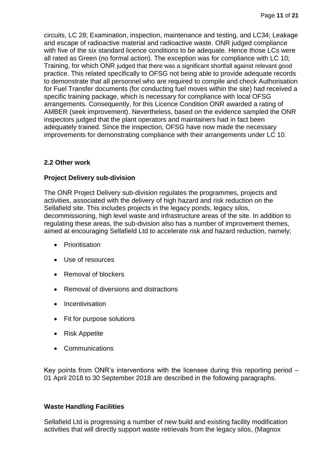circuits, LC 28; Examination, inspection, maintenance and testing, and LC34; Leakage and escape of radioactive material and radioactive waste. ONR judged compliance with five of the six standard licence conditions to be adequate. Hence those LCs were all rated as Green (no formal action). The exception was for compliance with LC 10; Training, for which ONR judged that there was a significant shortfall against relevant good practice. This related specifically to OFSG not being able to provide adequate records to demonstrate that all personnel who are required to compile and check Authorisation for Fuel Transfer documents (for conducting fuel moves within the site) had received a specific training package, which is necessary for compliance with local OFSG arrangements. Consequently, for this Licence Condition ONR awarded a rating of AMBER (seek improvement). Nevertheless, based on the evidence sampled the ONR inspectors judged that the plant operators and maintainers had in fact been adequately trained. Since the inspection, OFSG have now made the necessary improvements for demonstrating compliance with their arrangements under LC 10.

#### **2.2 Other work**

#### **Project Delivery sub-division**

The ONR Project Delivery sub-division regulates the programmes, projects and activities, associated with the delivery of high hazard and risk reduction on the Sellafield site. This includes projects in the legacy ponds, legacy silos, decommissioning, high level waste and infrastructure areas of the site. In addition to regulating these areas, the sub-division also has a number of improvement themes, aimed at encouraging Sellafield Ltd to accelerate risk and hazard reduction, namely;

- Prioritisation
- Use of resources
- Removal of blockers
- Removal of diversions and distractions
- Incentivisation
- Fit for purpose solutions
- Risk Appetite
- Communications

Key points from ONR's interventions with the licensee during this reporting period – 01 April 2018 to 30 September 2018 are described in the following paragraphs.

#### **Waste Handling Facilities**

Sellafield Ltd is progressing a number of new build and existing facility modification activities that will directly support waste retrievals from the legacy silos, (Magnox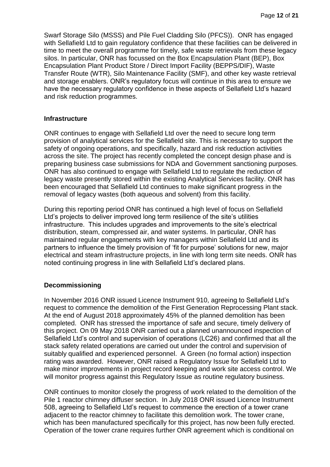Swarf Storage Silo (MSSS) and Pile Fuel Cladding Silo (PFCS)). ONR has engaged with Sellafield Ltd to gain regulatory confidence that these facilities can be delivered in time to meet the overall programme for timely, safe waste retrievals from these legacy silos. In particular, ONR has focussed on the Box Encapsulation Plant (BEP), Box Encapsulation Plant Product Store / Direct Import Facility (BEPPS/DIF), Waste Transfer Route (WTR), Silo Maintenance Facility (SMF), and other key waste retrieval and storage enablers. ONR's regulatory focus will continue in this area to ensure we have the necessary regulatory confidence in these aspects of Sellafield Ltd's hazard and risk reduction programmes.

#### **Infrastructure**

ONR continues to engage with Sellafield Ltd over the need to secure long term provision of analytical services for the Sellafield site. This is necessary to support the safety of ongoing operations, and specifically, hazard and risk reduction activities across the site. The project has recently completed the concept design phase and is preparing business case submissions for NDA and Government sanctioning purposes. ONR has also continued to engage with Sellafield Ltd to regulate the reduction of legacy waste presently stored within the existing Analytical Services facility. ONR has been encouraged that Sellafield Ltd continues to make significant progress in the removal of legacy wastes (both aqueous and solvent) from this facility.

During this reporting period ONR has continued a high level of focus on Sellafield Ltd's projects to deliver improved long term resilience of the site's utilities infrastructure. This includes upgrades and improvements to the site's electrical distribution, steam, compressed air, and water systems. In particular, ONR has maintained regular engagements with key managers within Sellafield Ltd and its partners to influence the timely provision of 'fit for purpose' solutions for new, major electrical and steam infrastructure projects, in line with long term site needs. ONR has noted continuing progress in line with Sellafield Ltd's declared plans.

#### **Decommissioning**

In November 2016 ONR issued Licence Instrument 910, agreeing to Sellafield Ltd's request to commence the demolition of the First Generation Reprocessing Plant stack. At the end of August 2018 approximately 45% of the planned demolition has been completed. ONR has stressed the importance of safe and secure, timely delivery of this project. On 09 May 2018 ONR carried out a planned unannounced inspection of Sellafield Ltd's control and supervision of operations (LC26) and confirmed that all the stack safety related operations are carried out under the control and supervision of suitably qualified and experienced personnel. A Green (no formal action) inspection rating was awarded. However, ONR raised a Regulatory Issue for Sellafield Ltd to make minor improvements in project record keeping and work site access control. We will monitor progress against this Regulatory Issue as routine regulatory business.

ONR continues to monitor closely the progress of work related to the demolition of the Pile 1 reactor chimney diffuser section. In July 2018 ONR issued Licence Instrument 508, agreeing to Sellafield Ltd's request to commence the erection of a tower crane adjacent to the reactor chimney to facilitate this demolition work. The tower crane, which has been manufactured specifically for this project, has now been fully erected. Operation of the tower crane requires further ONR agreement which is conditional on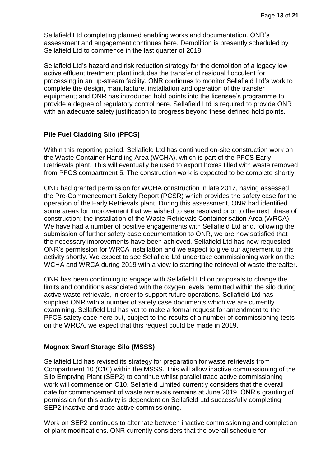Sellafield Ltd completing planned enabling works and documentation. ONR's assessment and engagement continues here. Demolition is presently scheduled by Sellafield Ltd to commence in the last quarter of 2018.

Sellafield Ltd's hazard and risk reduction strategy for the demolition of a legacy low active effluent treatment plant includes the transfer of residual flocculent for processing in an up-stream facility. ONR continues to monitor Sellafield Ltd's work to complete the design, manufacture, installation and operation of the transfer equipment; and ONR has introduced hold points into the licensee's programme to provide a degree of regulatory control here. Sellafield Ltd is required to provide ONR with an adequate safety justification to progress beyond these defined hold points.

#### **Pile Fuel Cladding Silo (PFCS)**

Within this reporting period, Sellafield Ltd has continued on-site construction work on the Waste Container Handling Area (WCHA), which is part of the PFCS Early Retrievals plant. This will eventually be used to export boxes filled with waste removed from PFCS compartment 5. The construction work is expected to be complete shortly.

ONR had granted permission for WCHA construction in late 2017, having assessed the Pre-Commencement Safety Report (PCSR) which provides the safety case for the operation of the Early Retrievals plant. During this assessment, ONR had identified some areas for improvement that we wished to see resolved prior to the next phase of construction: the installation of the Waste Retrievals Containerisation Area (WRCA). We have had a number of positive engagements with Sellafield Ltd and, following the submission of further safety case documentation to ONR, we are now satisfied that the necessary improvements have been achieved. Sellafield Ltd has now requested ONR's permission for WRCA installation and we expect to give our agreement to this activity shortly. We expect to see Sellafield Ltd undertake commissioning work on the WCHA and WRCA during 2019 with a view to starting the retrieval of waste thereafter.

ONR has been continuing to engage with Sellafield Ltd on proposals to change the limits and conditions associated with the oxygen levels permitted within the silo during active waste retrievals, in order to support future operations. Sellafield Ltd has supplied ONR with a number of safety case documents which we are currently examining. Sellafield Ltd has yet to make a formal request for amendment to the PFCS safety case here but, subject to the results of a number of commissioning tests on the WRCA, we expect that this request could be made in 2019.

#### **Magnox Swarf Storage Silo (MSSS)**

Sellafield Ltd has revised its strategy for preparation for waste retrievals from Compartment 10 (C10) within the MSSS. This will allow inactive commissioning of the Silo Emptying Plant (SEP2) to continue whilst parallel trace active commissioning work will commence on C10. Sellafield Limited currently considers that the overall date for commencement of waste retrievals remains at June 2019. ONR's granting of permission for this activity is dependent on Sellafield Ltd successfully completing SEP2 inactive and trace active commissioning.

Work on SEP2 continues to alternate between inactive commissioning and completion of plant modifications. ONR currently considers that the overall schedule for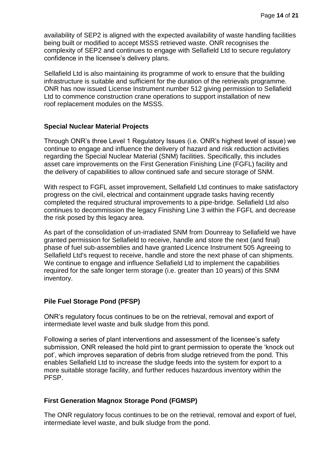availability of SEP2 is aligned with the expected availability of waste handling facilities being built or modified to accept MSSS retrieved waste. ONR recognises the complexity of SEP2 and continues to engage with Sellafield Ltd to secure regulatory confidence in the licensee's delivery plans.

Sellafield Ltd is also maintaining its programme of work to ensure that the building infrastructure is suitable and sufficient for the duration of the retrievals programme. ONR has now issued License Instrument number 512 giving permission to Sellafield Ltd to commence construction crane operations to support installation of new roof replacement modules on the MSSS.

#### **Special Nuclear Material Projects**

Through ONR's three Level 1 Regulatory Issues (i.e. ONR's highest level of issue) we continue to engage and influence the delivery of hazard and risk reduction activities regarding the Special Nuclear Material (SNM) facilities. Specifically, this includes asset care improvements on the First Generation Finishing Line (FGFL) facility and the delivery of capabilities to allow continued safe and secure storage of SNM.

With respect to FGFL asset improvement, Sellafield Ltd continues to make satisfactory progress on the civil, electrical and containment upgrade tasks having recently completed the required structural improvements to a pipe-bridge. Sellafield Ltd also continues to decommission the legacy Finishing Line 3 within the FGFL and decrease the risk posed by this legacy area.

As part of the consolidation of un-irradiated SNM from Dounreay to Sellafield we have granted permission for Sellafield to receive, handle and store the next (and final) phase of fuel sub-assemblies and have granted Licence Instrument 505 Agreeing to Sellafield Ltd's request to receive, handle and store the next phase of can shipments. We continue to engage and influence Sellafield Ltd to implement the capabilities required for the safe longer term storage (i.e. greater than 10 years) of this SNM inventory.

#### **Pile Fuel Storage Pond (PFSP)**

ONR's regulatory focus continues to be on the retrieval, removal and export of intermediate level waste and bulk sludge from this pond.

Following a series of plant interventions and assessment of the licensee's safety submission, ONR released the hold pint to grant permission to operate the 'knock out pot', which improves separation of debris from sludge retrieved from the pond. This enables Sellafield Ltd to increase the sludge feeds into the system for export to a more suitable storage facility, and further reduces hazardous inventory within the PFSP.

#### **First Generation Magnox Storage Pond (FGMSP)**

The ONR regulatory focus continues to be on the retrieval, removal and export of fuel, intermediate level waste, and bulk sludge from the pond.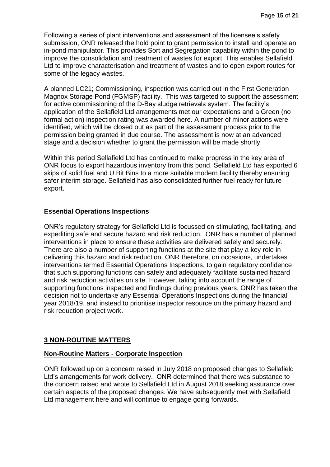Following a series of plant interventions and assessment of the licensee's safety submission, ONR released the hold point to grant permission to install and operate an in-pond manipulator. This provides Sort and Segregation capability within the pond to improve the consolidation and treatment of wastes for export. This enables Sellafield Ltd to improve characterisation and treatment of wastes and to open export routes for some of the legacy wastes.

A planned LC21; Commissioning, inspection was carried out in the First Generation Magnox Storage Pond (FGMSP) facility. This was targeted to support the assessment for active commissioning of the D-Bay sludge retrievals system. The facility's application of the Sellafield Ltd arrangements met our expectations and a Green (no formal action) inspection rating was awarded here. A number of minor actions were identified, which will be closed out as part of the assessment process prior to the permission being granted in due course. The assessment is now at an advanced stage and a decision whether to grant the permission will be made shortly.

Within this period Sellafield Ltd has continued to make progress in the key area of ONR focus to export hazardous inventory from this pond. Sellafield Ltd has exported 6 skips of solid fuel and U Bit Bins to a more suitable modern facility thereby ensuring safer interim storage. Sellafield has also consolidated further fuel ready for future export.

#### **Essential Operations Inspections**

ONR's regulatory strategy for Sellafield Ltd is focussed on stimulating, facilitating, and expediting safe and secure hazard and risk reduction. ONR has a number of planned interventions in place to ensure these activities are delivered safely and securely. There are also a number of supporting functions at the site that play a key role in delivering this hazard and risk reduction. ONR therefore, on occasions, undertakes interventions termed Essential Operations Inspections, to gain regulatory confidence that such supporting functions can safely and adequately facilitate sustained hazard and risk reduction activities on site. However, taking into account the range of supporting functions inspected and findings during previous years, ONR has taken the decision not to undertake any Essential Operations Inspections during the financial year 2018/19, and instead to prioritise inspector resource on the primary hazard and risk reduction project work.

#### <span id="page-14-0"></span>**3 NON-ROUTINE MATTERS**

#### **Non-Routine Matters - Corporate Inspection**

ONR followed up on a concern raised in July 2018 on proposed changes to Sellafield Ltd's arrangements for work delivery. ONR determined that there was substance to the concern raised and wrote to Sellafield Ltd in August 2018 seeking assurance over certain aspects of the proposed changes. We have subsequently met with Sellafield Ltd management here and will continue to engage going forwards.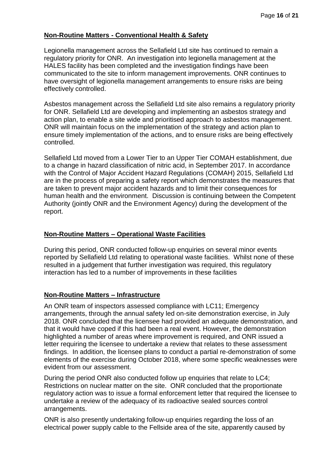#### **Non-Routine Matters - Conventional Health & Safety**

Legionella management across the Sellafield Ltd site has continued to remain a regulatory priority for ONR. An investigation into legionella management at the HALES facility has been completed and the investigation findings have been communicated to the site to inform management improvements. ONR continues to have oversight of legionella management arrangements to ensure risks are being effectively controlled.

Asbestos management across the Sellafield Ltd site also remains a regulatory priority for ONR. Sellafield Ltd are developing and implementing an asbestos strategy and action plan, to enable a site wide and prioritised approach to asbestos management. ONR will maintain focus on the implementation of the strategy and action plan to ensure timely implementation of the actions, and to ensure risks are being effectively controlled.

Sellafield Ltd moved from a Lower Tier to an Upper Tier COMAH establishment, due to a change in hazard classification of nitric acid, in September 2017. In accordance with the Control of Major Accident Hazard Regulations (COMAH) 2015, Sellafield Ltd are in the process of preparing a safety report which demonstrates the measures that are taken to prevent major accident hazards and to limit their consequences for human health and the environment. Discussion is continuing between the Competent Authority (jointly ONR and the Environment Agency) during the development of the report.

#### **Non-Routine Matters – Operational Waste Facilities**

During this period, ONR conducted follow-up enquiries on several minor events reported by Sellafield Ltd relating to operational waste facilities. Whilst none of these resulted in a judgement that further investigation was required, this regulatory interaction has led to a number of improvements in these facilities

#### **Non-Routine Matters – Infrastructure**

An ONR team of inspectors assessed compliance with LC11; Emergency arrangements, through the annual safety led on-site demonstration exercise, in July 2018. ONR concluded that the licensee had provided an adequate demonstration, and that it would have coped if this had been a real event. However, the demonstration highlighted a number of areas where improvement is required, and ONR issued a letter requiring the licensee to undertake a review that relates to these assessment findings. In addition, the licensee plans to conduct a partial re-demonstration of some elements of the exercise during October 2018, where some specific weaknesses were evident from our assessment.

During the period ONR also conducted follow up enquiries that relate to LC4; Restrictions on nuclear matter on the site. ONR concluded that the proportionate regulatory action was to issue a formal enforcement letter that required the licensee to undertake a review of the adequacy of its radioactive sealed sources control arrangements.

ONR is also presently undertaking follow-up enquiries regarding the loss of an electrical power supply cable to the Fellside area of the site, apparently caused by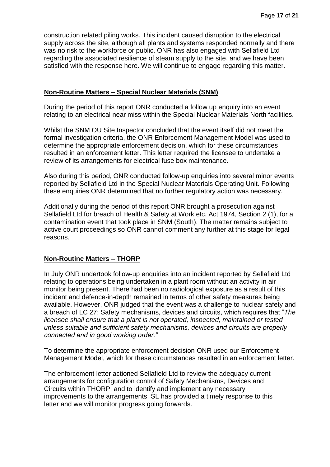construction related piling works. This incident caused disruption to the electrical supply across the site, although all plants and systems responded normally and there was no risk to the workforce or public. ONR has also engaged with Sellafield Ltd regarding the associated resilience of steam supply to the site, and we have been satisfied with the response here. We will continue to engage regarding this matter.

#### **Non-Routine Matters – Special Nuclear Materials (SNM)**

During the period of this report ONR conducted a follow up enquiry into an event relating to an electrical near miss within the Special Nuclear Materials North facilities.

Whilst the SNM OU Site Inspector concluded that the event itself did not meet the formal investigation criteria, the ONR Enforcement Management Model was used to determine the appropriate enforcement decision, which for these circumstances resulted in an enforcement letter. This letter required the licensee to undertake a review of its arrangements for electrical fuse box maintenance.

Also during this period, ONR conducted follow-up enquiries into several minor events reported by Sellafield Ltd in the Special Nuclear Materials Operating Unit. Following these enquiries ONR determined that no further regulatory action was necessary.

Additionally during the period of this report ONR brought a prosecution against Sellafield Ltd for breach of Health & Safety at Work etc. Act 1974, Section 2 (1), for a contamination event that took place in SNM (South). The matter remains subject to active court proceedings so ONR cannot comment any further at this stage for legal reasons.

#### **Non-Routine Matters – THORP**

In July ONR undertook follow-up enquiries into an incident reported by Sellafield Ltd relating to operations being undertaken in a plant room without an activity in air monitor being present. There had been no radiological exposure as a result of this incident and defence-in-depth remained in terms of other safety measures being available. However, ONR judged that the event was a challenge to nuclear safety and a breach of LC 27; Safety mechanisms, devices and circuits, which requires that "*The licensee shall ensure that a plant is not operated, inspected, maintained or tested unless suitable and sufficient safety mechanisms, devices and circuits are properly connected and in good working order."* 

To determine the appropriate enforcement decision ONR used our Enforcement Management Model, which for these circumstances resulted in an enforcement letter.

The enforcement letter actioned Sellafield Ltd to review the adequacy current arrangements for configuration control of Safety Mechanisms, Devices and Circuits within THORP, and to identify and implement any necessary improvements to the arrangements. SL has provided a timely response to this letter and we will monitor progress going forwards.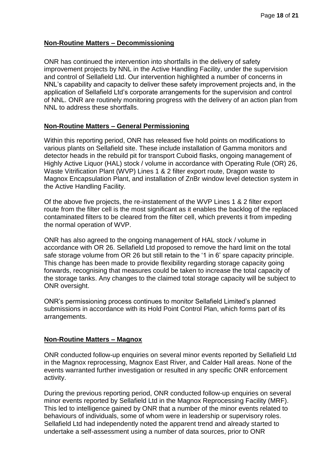#### **Non-Routine Matters – Decommissioning**

ONR has continued the intervention into shortfalls in the delivery of safety improvement projects by NNL in the Active Handling Facility, under the supervision and control of Sellafield Ltd. Our intervention highlighted a number of concerns in NNL's capability and capacity to deliver these safety improvement projects and, in the application of Sellafield Ltd's corporate arrangements for the supervision and control of NNL. ONR are routinely monitoring progress with the delivery of an action plan from NNL to address these shortfalls.

#### **Non-Routine Matters – General Permissioning**

Within this reporting period, ONR has released five hold points on modifications to various plants on Sellafield site. These include installation of Gamma monitors and detector heads in the rebuild pit for transport Cuboid flasks, ongoing management of Highly Active Liquor (HAL) stock / volume in accordance with Operating Rule (OR) 26, Waste Vitrification Plant (WVP) Lines 1 & 2 filter export route, Dragon waste to Magnox Encapsulation Plant, and installation of ZnBr window level detection system in the Active Handling Facility.

Of the above five projects, the re-instatement of the WVP Lines 1 & 2 filter export route from the filter cell is the most significant as it enables the backlog of the replaced contaminated filters to be cleared from the filter cell, which prevents it from impeding the normal operation of WVP.

ONR has also agreed to the ongoing management of HAL stock / volume in accordance with OR 26. Sellafield Ltd proposed to remove the hard limit on the total safe storage volume from OR 26 but still retain to the '1 in 6' spare capacity principle. This change has been made to provide flexibility regarding storage capacity going forwards, recognising that measures could be taken to increase the total capacity of the storage tanks. Any changes to the claimed total storage capacity will be subject to ONR oversight.

ONR's permissioning process continues to monitor Sellafield Limited's planned submissions in accordance with its Hold Point Control Plan, which forms part of its arrangements.

#### **Non-Routine Matters – Magnox**

ONR conducted follow-up enquiries on several minor events reported by Sellafield Ltd in the Magnox reprocessing, Magnox East River, and Calder Hall areas. None of the events warranted further investigation or resulted in any specific ONR enforcement activity.

During the previous reporting period, ONR conducted follow-up enquiries on several minor events reported by Sellafield Ltd in the Magnox Reprocessing Facility (MRF). This led to intelligence gained by ONR that a number of the minor events related to behaviours of individuals, some of whom were in leadership or supervisory roles. Sellafield Ltd had independently noted the apparent trend and already started to undertake a self-assessment using a number of data sources, prior to ONR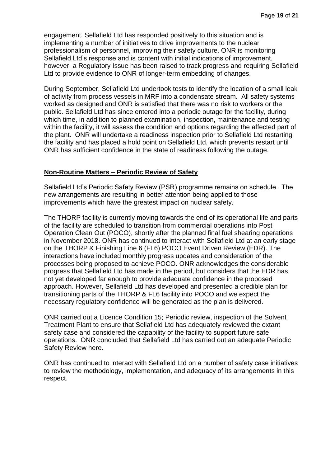engagement. Sellafield Ltd has responded positively to this situation and is implementing a number of initiatives to drive improvements to the nuclear professionalism of personnel, improving their safety culture. ONR is monitoring Sellafield Ltd's response and is content with initial indications of improvement, however, a Regulatory Issue has been raised to track progress and requiring Sellafield Ltd to provide evidence to ONR of longer-term embedding of changes.

During September, Sellafield Ltd undertook tests to identify the location of a small leak of activity from process vessels in MRF into a condensate stream. All safety systems worked as designed and ONR is satisfied that there was no risk to workers or the public. Sellafield Ltd has since entered into a periodic outage for the facility, during which time, in addition to planned examination, inspection, maintenance and testing within the facility, it will assess the condition and options regarding the affected part of the plant. ONR will undertake a readiness inspection prior to Sellafield Ltd restarting the facility and has placed a hold point on Sellafield Ltd, which prevents restart until ONR has sufficient confidence in the state of readiness following the outage.

#### **Non-Routine Matters – Periodic Review of Safety**

Sellafield Ltd's Periodic Safety Review (PSR) programme remains on schedule. The new arrangements are resulting in better attention being applied to those improvements which have the greatest impact on nuclear safety.

The THORP facility is currently moving towards the end of its operational life and parts of the facility are scheduled to transition from commercial operations into Post Operation Clean Out (POCO), shortly after the planned final fuel shearing operations in November 2018. ONR has continued to interact with Sellafield Ltd at an early stage on the THORP & Finishing Line 6 (FL6) POCO Event Driven Review (EDR). The interactions have included monthly progress updates and consideration of the processes being proposed to achieve POCO. ONR acknowledges the considerable progress that Sellafield Ltd has made in the period, but considers that the EDR has not yet developed far enough to provide adequate confidence in the proposed approach. However, Sellafield Ltd has developed and presented a credible plan for transitioning parts of the THORP & FL6 facility into POCO and we expect the necessary regulatory confidence will be generated as the plan is delivered.

ONR carried out a Licence Condition 15; Periodic review, inspection of the Solvent Treatment Plant to ensure that Sellafield Ltd has adequately reviewed the extant safety case and considered the capability of the facility to support future safe operations. ONR concluded that Sellafield Ltd has carried out an adequate Periodic Safety Review here.

ONR has continued to interact with Sellafield Ltd on a number of safety case initiatives to review the methodology, implementation, and adequacy of its arrangements in this respect.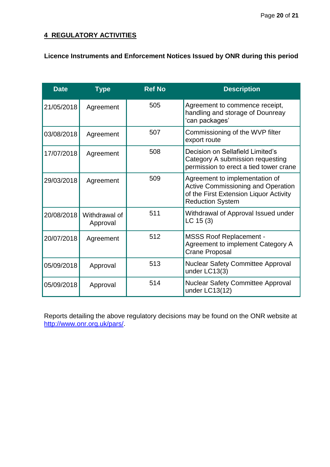## **4 REGULATORY ACTIVITIES**

## **Licence Instruments and Enforcement Notices Issued by ONR during this period**

| <b>Date</b> | <b>Type</b>               | <b>Ref No</b> | <b>Description</b>                                                                                                                               |
|-------------|---------------------------|---------------|--------------------------------------------------------------------------------------------------------------------------------------------------|
| 21/05/2018  | Agreement                 | 505           | Agreement to commence receipt,<br>handling and storage of Dounreay<br>'can packages'                                                             |
| 03/08/2018  | Agreement                 | 507           | Commissioning of the WVP filter<br>export route                                                                                                  |
| 17/07/2018  | Agreement                 | 508           | Decision on Sellafield Limited's<br>Category A submission requesting<br>permission to erect a tied tower crane                                   |
| 29/03/2018  | Agreement                 | 509           | Agreement to implementation of<br><b>Active Commissioning and Operation</b><br>of the First Extension Liquor Activity<br><b>Reduction System</b> |
| 20/08/2018  | Withdrawal of<br>Approval | 511           | Withdrawal of Approval Issued under<br>LC 15(3)                                                                                                  |
| 20/07/2018  | Agreement                 | 512           | <b>MSSS Roof Replacement -</b><br>Agreement to implement Category A<br><b>Crane Proposal</b>                                                     |
| 05/09/2018  | Approval                  | 513           | <b>Nuclear Safety Committee Approval</b><br>under LC13(3)                                                                                        |
| 05/09/2018  | Approval                  | 514           | <b>Nuclear Safety Committee Approval</b><br>under LC13(12)                                                                                       |

Reports detailing the above regulatory decisions may be found on the ONR website at [http://www.onr.org.uk/pars/.](http://www.onr.org.uk/pars/)